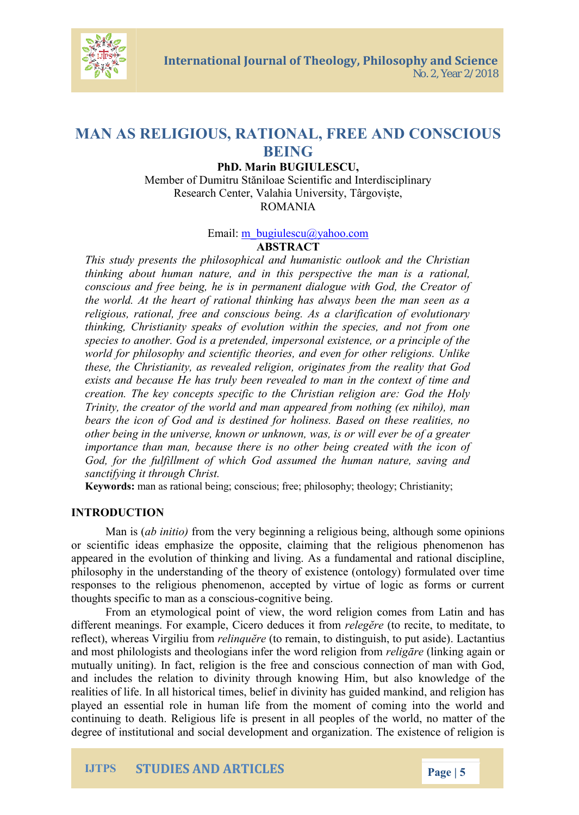# MAN AS RELIGIOTUISO, NFAA, FREE ANSICIOOUNS BEING

PhD. Marin BUGIULESCU, Member of Dumitru St niloae Scientific and Interdisc Research Center, Val**atia rag dt en** iversity, ROMANIA

Emam bugiulescu@yahoo.com

ABSTRACT

This study sphesphtlosophical and humanistic outlook and t thinking about humand nn ah useperspective the man is a conscious abned prighese is rima peent dialogue with God, the Creat the world. At the heart of rational thinking has always be religious, rational, free and conscious being. As a clarifi thimkg, Christianity speaks of evolution within the species species to another. Godimins earspoxnest beandceed, or a principle of th world for philosophy and scientific theories, and even for these, the di faming revealed, or eilgion and estigation the reality that G exists and be transistently been revealed to man in the contex creation. The key concepts specificante Globel Christian religion are: God the Holy Trinity, the crewalofd of ant mappearen freed mnothing (ex nihilo), man bears the icon of God and is destined for holiness. Based other being in the universe, who powenide to the kanoprepater importance than man, becausive rthe inderior cated with the icon God, for the fulfillment of which Gode,assianowigneed the human

sangtin the through Christ.

Keywords: asational being; conscious; free; philosophy; theology;

### INTRODUCTION

Man is ( in ition) the very beginning a religious being, although some opinions of the very beginning a religious being, although or scientific ideas emphasize the opposite, claiming that t appeared in the evolution of thinking and living. As a funda philosophy in the understanding of the theory of existence ( responses to the religious phenomenon, accepted by virtue thoughts specific to mecro cansital veobeicniqus

From an etympoolongticoafl view, the word religion comes fro different meanimgs. Le Fo $\Omega$ ioeexrao deduce besoge (tto rferom intem e ditatole, refle wthere vas qiliu fred im que (to remain, to distinguish ct alung but asi andhospthilologists and sinhferolohgeiawn ord renologine flinkning again or mutual hyiting). In fact, religion is the free and conscious co and includes the relation to dinivginhiltiymbuthroalusgoh kkmobwutheedge o realities of life. In all historical times, belief in divinity has played an essential role in human life from the moment of continuing to death. Religious life ishep wessended in a lattle poetoples degree of institutional and social development and organizat

IJTPS STUDIES AND ARTICLES Page |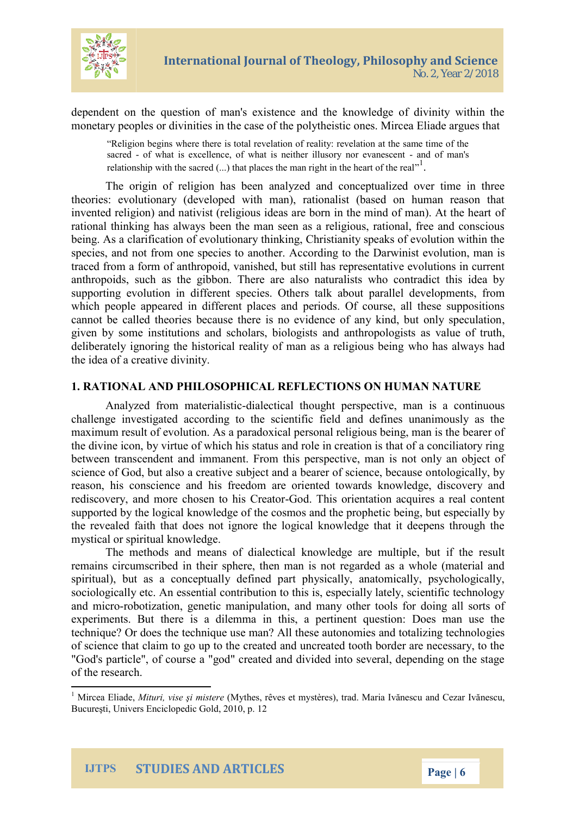

dependent on the question of man's existence and the knowledge of divinity within the monetary peoples or divinities in the case of the polytheistic ones. Mircea Eliade argues that

"Religion begins where there is total revelation of reality: revelation at the same time of the sacred - of what is excellence, of what is neither illusory nor evanescent - and of man's relationship with the sacred  $(...)$  that places the man right in the heart of the real<sup> $,1$ </sup>.

The origin of religion has been analyzed and conceptualized over time in three theories: evolutionary (developed with man), rationalist (based on human reason that invented religion) and nativist (religious ideas are born in the mind of man). At the heart of rational thinking has always been the man seen as a religious, rational, free and conscious being. As a clarification of evolutionary thinking, Christianity speaks of evolution within the species, and not from one species to another. According to the Darwinist evolution, man is traced from a form of anthropoid, vanished, but still has representative evolutions in current anthropoids, such as the gibbon. There are also naturalists who contradict this idea by supporting evolution in different species. Others talk about parallel developments, from which people appeared in different places and periods. Of course, all these suppositions cannot be called theories because there is no evidence of any kind, but only speculation, given by some institutions and scholars, biologists and anthropologists as value of truth, deliberately ignoring the historical reality of man as a religious being who has always had the idea of a creative divinity.

## **1. RATIONAL AND PHILOSOPHICAL REFLECTIONS ON HUMAN NATURE**

Analyzed from materialistic-dialectical thought perspective, man is a continuous challenge investigated according to the scientific field and defines unanimously as the maximum result of evolution. As a paradoxical personal religious being, man is the bearer of the divine icon, by virtue of which his status and role in creation is that of a conciliatory ring between transcendent and immanent. From this perspective, man is not only an object of science of God, but also a creative subject and a bearer of science, because ontologically, by reason, his conscience and his freedom are oriented towards knowledge, discovery and rediscovery, and more chosen to his Creator-God. This orientation acquires a real content supported by the logical knowledge of the cosmos and the prophetic being, but especially by the revealed faith that does not ignore the logical knowledge that it deepens through the mystical or spiritual knowledge.

The methods and means of dialectical knowledge are multiple, but if the result remains circumscribed in their sphere, then man is not regarded as a whole (material and spiritual), but as a conceptually defined part physically, anatomically, psychologically, sociologically etc. An essential contribution to this is, especially lately, scientific technology and micro-robotization, genetic manipulation, and many other tools for doing all sorts of experiments. But there is a dilemma in this, a pertinent question: Does man use the technique? Or does the technique use man? All these autonomies and totalizing technologies of science that claim to go up to the created and uncreated tooth border are necessary, to the "God's particle", of course a "god" created and divided into several, depending on the stage of the research.

<sup>1</sup> Mircea Eliade, *Mituri, vise şi mistere* (Mythes, rêves et mystères), trad. Maria Ivănescu and Cezar Ivănescu, Bucureşti, Univers Enciclopedic Gold, 2010, p. 12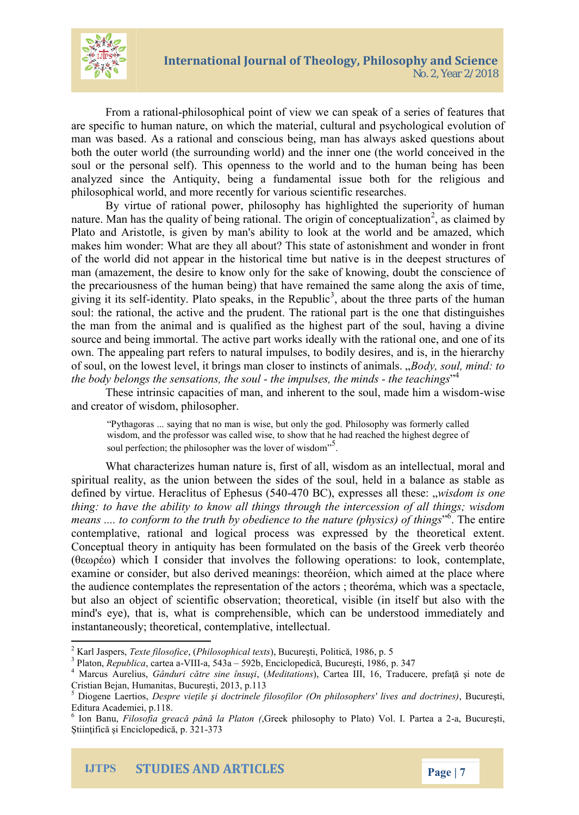

From a rational-philosophical point of view we can speak of a series of features that are specific to human nature, on which the material, cultural and psychological evolution of man was based. As a rational and conscious being, man has always asked questions about both the outer world (the surrounding world) and the inner one (the world conceived in the soul or the personal self). This openness to the world and to the human being has been analyzed since the Antiquity, being a fundamental issue both for the religious and philosophical world, and more recently for various scientific researches.

By virtue of rational power, philosophy has highlighted the superiority of human nature. Man has the quality of being rational. The origin of conceptualization<sup>2</sup>, as claimed by Plato and Aristotle, is given by man's ability to look at the world and be amazed, which makes him wonder: What are they all about? This state of astonishment and wonder in front of the world did not appear in the historical time but native is in the deepest structures of man (amazement, the desire to know only for the sake of knowing, doubt the conscience of the precariousness of the human being) that have remained the same along the axis of time, giving it its self-identity. Plato speaks, in the Republic<sup>3</sup>, about the three parts of the human soul: the rational, the active and the prudent. The rational part is the one that distinguishes the man from the animal and is qualified as the highest part of the soul, having a divine source and being immortal. The active part works ideally with the rational one, and one of its own. The appealing part refers to natural impulses, to bodily desires, and is, in the hierarchy of soul, on the lowest level, it brings man closer to instincts of animals. "*Body, soul, mind: to the body belongs the sensations, the soul - the impulses, the minds - the teachings*" 4

These intrinsic capacities of man, and inherent to the soul, made him a wisdom-wise and creator of wisdom, philosopher.

"Pythagoras ... saying that no man is wise, but only the god. Philosophy was formerly called wisdom, and the professor was called wise, to show that he had reached the highest degree of soul perfection; the philosopher was the lover of wisdom".<sup>5</sup>

What characterizes human nature is, first of all, wisdom as an intellectual, moral and spiritual reality, as the union between the sides of the soul, held in a balance as stable as defined by virtue. Heraclitus of Ephesus (540-470 BC), expresses all these: *"wisdom is one thing: to have the ability to know all things through the intercession of all things; wisdom* means .... to conform to the truth by obedience to the nature (physics) of things<sup>"6</sup>. The entire contemplative, rational and logical process was expressed by the theoretical extent. Conceptual theory in antiquity has been formulated on the basis of the Greek verb theoréo (θεωρέω) which I consider that involves the following operations: to look, contemplate, examine or consider, but also derived meanings: theoréion, which aimed at the place where the audience contemplates the representation of the actors ; theoréma, which was a spectacle, but also an object of scientific observation; theoretical, visible (in itself but also with the mind's eye), that is, what is comprehensible, which can be understood immediately and instantaneously; theoretical, contemplative, intellectual.

<sup>2</sup> Karl Jaspers, *Texte filosofice*, (*Philosophical texts*), Bucureşti, Politică, 1986, p. 5

<sup>3</sup> Platon, *Republica*, cartea a-VIII-a, 543a – 592b, Enciclopedică, Bucureşti, 1986, p. 347

<sup>4</sup> Marcus Aurelius, *Gânduri către sine însuşi*, (*Meditations*), Cartea III, 16, Traducere, prefaţă şi note de Cristian Bejan, Humanitas, Bucureşti, 2013, p.113

<sup>5</sup> Diogene Laertios, *Despre vieţile şi doctrinele filosofilor (On philosophers' lives and doctrines)*, Bucureşti, Editura Academiei, p.118.

<sup>6</sup> Ion Banu, *Filosofia greacă până la Platon (*,Greek philosophy to Plato) Vol. I. Partea a 2-a, Bucureşti, Ştiinţifică şi Enciclopedică, p. 321-373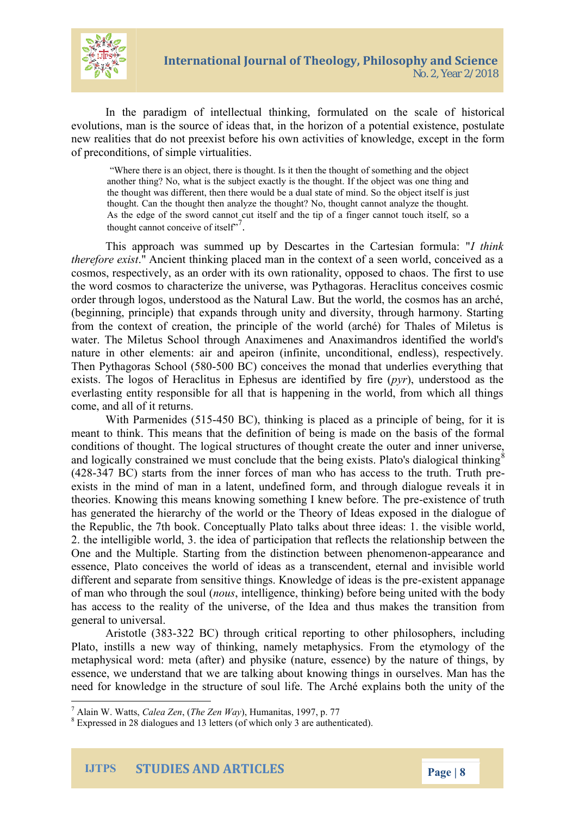

In the paradigm of intellectual thinking, formulated on the scale of historical evolutions, man is the source of ideas that, in the horizon of a potential existence, postulate new realities that do not preexist before his own activities of knowledge, except in the form of preconditions, of simple virtualities.

"Where there is an object, there is thought. Is it then the thought of something and the object another thing? No, what is the subject exactly is the thought. If the object was one thing and the thought was different, then there would be a dual state of mind. So the object itself is just thought. Can the thought then analyze the thought? No, thought cannot analyze the thought. As the edge of the sword cannot cut itself and the tip of a finger cannot touch itself, so a thought cannot conceive of itself".

This approach was summed up by Descartes in the Cartesian formula: "*I think therefore exist*." Ancient thinking placed man in the context of a seen world, conceived as a cosmos, respectively, as an order with its own rationality, opposed to chaos. The first to use the word cosmos to characterize the universe, was Pythagoras. Heraclitus conceives cosmic order through logos, understood as the Natural Law. But the world, the cosmos has an arché, (beginning, principle) that expands through unity and diversity, through harmony. Starting from the context of creation, the principle of the world (arché) for Thales of Miletus is water. The Miletus School through Anaximenes and Anaximandros identified the world's nature in other elements: air and apeiron (infinite, unconditional, endless), respectively. Then Pythagoras School (580-500 BC) conceives the monad that underlies everything that exists. The logos of Heraclitus in Ephesus are identified by fire (*pyr*), understood as the everlasting entity responsible for all that is happening in the world, from which all things come, and all of it returns.

With Parmenides (515-450 BC), thinking is placed as a principle of being, for it is meant to think. This means that the definition of being is made on the basis of the formal conditions of thought. The logical structures of thought create the outer and inner universe, and logically constrained we must conclude that the being exists. Plato's dialogical thinking<sup>8</sup> (428-347 BC) starts from the inner forces of man who has access to the truth. Truth preexists in the mind of man in a latent, undefined form, and through dialogue reveals it in theories. Knowing this means knowing something I knew before. The pre-existence of truth has generated the hierarchy of the world or the Theory of Ideas exposed in the dialogue of the Republic, the 7th book. Conceptually Plato talks about three ideas: 1. the visible world, 2. the intelligible world, 3. the idea of participation that reflects the relationship between the One and the Multiple. Starting from the distinction between phenomenon-appearance and essence, Plato conceives the world of ideas as a transcendent, eternal and invisible world different and separate from sensitive things. Knowledge of ideas is the pre-existent appanage of man who through the soul (*nous*, intelligence, thinking) before being united with the body has access to the reality of the universe, of the Idea and thus makes the transition from general to universal.

Aristotle (383-322 BC) through critical reporting to other philosophers, including Plato, instills a new way of thinking, namely metaphysics. From the etymology of the metaphysical word: meta (after) and physike (nature, essence) by the nature of things, by essence, we understand that we are talking about knowing things in ourselves. Man has the need for knowledge in the structure of soul life. The Arché explains both the unity of the

<sup>7</sup> Alain W. Watts, *Calea Zen*, (*The Zen Way*), Humanitas, 1997, p. 77

<sup>&</sup>lt;sup>8</sup> Expressed in 28 dialogues and 13 letters (of which only 3 are authenticated).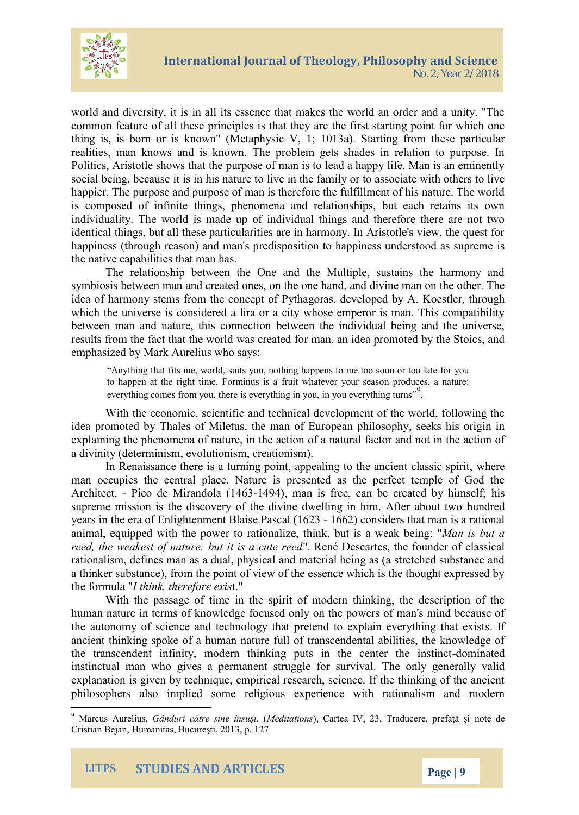

world and diversity, it is in all its essence that makes the world an order and a unity. "The common feature of all these principles is that they are the first starting point for which one thing is, is born or is known" (Metaphysic V, 1; 1013a). Starting from these particular realities, man knows and is known. The problem gets shades in relation to purpose. In Politics, Aristotle shows that the purpose of man is to lead a happy life. Man is an eminently social being, because it is in his nature to live in the family or to associate with others to live happier. The purpose and purpose of man is therefore the fulfillment of his nature. The world is composed of infinite things, phenomena and relationships, but each retains its own individuality. The world is made up of individual things and therefore there are not two identical things, but all these particularities are in harmony. In Aristotle's view, the quest for happiness (through reason) and man's predisposition to happiness understood as supreme is the native capabilities that man has.

The relationship between the One and the Multiple, sustains the harmony and symbiosis between man and created ones, on the one hand, and divine man on the other. The idea of harmony stems from the concept of Pythagoras, developed by A. Koestler, through which the universe is considered a lira or a city whose emperor is man. This compatibility between man and nature, this connection between the individual being and the universe, results from the fact that the world was created for man, an idea promoted by the Stoics, and emphasized by Mark Aurelius who says:

"Anything that fits me, world, suits you, nothing happens to me too soon or too late for you to happen at the right time. Forminus is a fruit whatever your season produces, a nature: everything comes from you, there is everything in you, in you everything turns"<sup>9</sup>.

With the economic, scientific and technical development of the world, following the idea promoted by Thales of Miletus, the man of European philosophy, seeks his origin in explaining the phenomena of nature, in the action of a natural factor and not in the action of a divinity (determinism, evolutionism, creationism).

In Renaissance there is a turning point, appealing to the ancient classic spirit, where man occupies the central place. Nature is presented as the perfect temple of God the Architect, - Pico de Mirandola (1463-1494), man is free, can be created by himself; his supreme mission is the discovery of the divine dwelling in him. After about two hundred years in the era of Enlightenment Blaise Pascal (1623 - 1662) considers that man is a rational animal, equipped with the power to rationalize, think, but is a weak being: "*Man is but a reed, the weakest of nature; but it is a cute reed*". René Descartes, the founder of classical rationalism, defines man as a dual, physical and material being as (a stretched substance and a thinker substance), from the point of view of the essence which is the thought expressed by the formula "*I think, therefore exis*t."

With the passage of time in the spirit of modern thinking, the description of the human nature in terms of knowledge focused only on the powers of man's mind because of the autonomy of science and technology that pretend to explain everything that exists. If ancient thinking spoke of a human nature full of transcendental abilities, the knowledge of the transcendent infinity, modern thinking puts in the center the instinct-dominated instinctual man who gives a permanent struggle for survival. The only generally valid explanation is given by technique, empirical research, science. If the thinking of the ancient philosophers also implied some religious experience with rationalism and modern

<sup>9</sup> Marcus Aurelius, *Gânduri către sine însuşi*, (*Meditations*), Cartea IV, 23, Traducere, prefaţă şi note de Cristian Bejan, Humanitas, Bucureşti, 2013, p. 127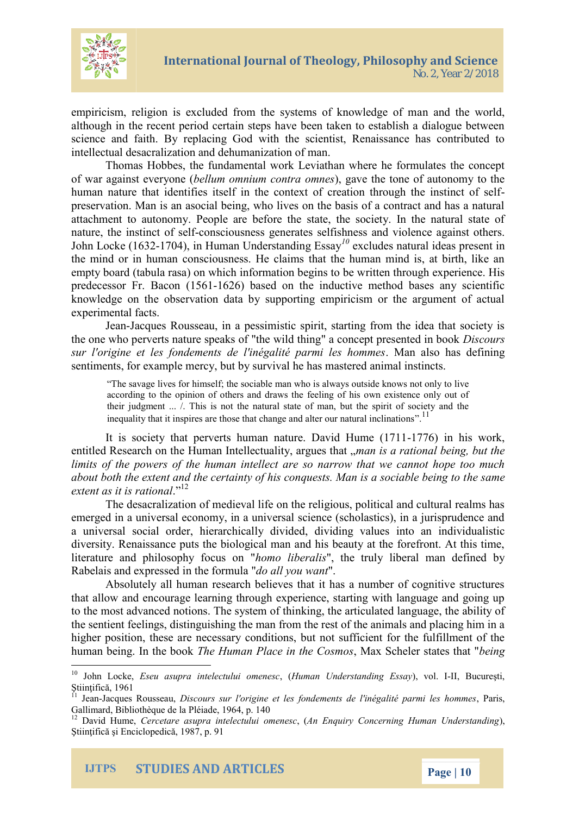

empiricism, religion is excluded from the systems of knowledge of man and the world, although in the recent period certain steps have been taken to establish a dialogue between science and faith. By replacing God with the scientist, Renaissance has contributed to intellectual desacralization and dehumanization of man.

Thomas Hobbes, the fundamental work Leviathan where he formulates the concept of war against everyone (*bellum omnium contra omnes*), gave the tone of autonomy to the human nature that identifies itself in the context of creation through the instinct of selfpreservation. Man is an asocial being, who lives on the basis of a contract and has a natural attachment to autonomy. People are before the state, the society. In the natural state of nature, the instinct of self-consciousness generates selfishness and violence against others. John Locke (1632-1704), in Human Understanding Essay*<sup>10</sup>* excludes natural ideas present in the mind or in human consciousness. He claims that the human mind is, at birth, like an empty board (tabula rasa) on which information begins to be written through experience. His predecessor Fr. Bacon (1561-1626) based on the inductive method bases any scientific knowledge on the observation data by supporting empiricism or the argument of actual experimental facts.

Jean-Jacques Rousseau, in a pessimistic spirit, starting from the idea that society is the one who perverts nature speaks of "the wild thing" a concept presented in book *Discours sur l'origine et les fondements de l'inégalité parmi les hommes*. Man also has defining sentiments, for example mercy, but by survival he has mastered animal instincts.

"The savage lives for himself; the sociable man who is always outside knows not only to live according to the opinion of others and draws the feeling of his own existence only out of their judgment ... /. This is not the natural state of man, but the spirit of society and the inequality that it inspires are those that change and alter our natural inclinations".<sup>11</sup>

It is society that perverts human nature. David Hume (1711-1776) in his work, entitled Research on the Human Intellectuality, argues that *"man is a rational being, but the limits of the powers of the human intellect are so narrow that we cannot hope too much about both the extent and the certainty of his conquests. Man is a sociable being to the same extent as it is rational*."<sup>12</sup>

The desacralization of medieval life on the religious, political and cultural realms has emerged in a universal economy, in a universal science (scholastics), in a jurisprudence and a universal social order, hierarchically divided, dividing values into an individualistic diversity. Renaissance puts the biological man and his beauty at the forefront. At this time, literature and philosophy focus on "*homo liberalis*", the truly liberal man defined by Rabelais and expressed in the formula "*do all you want*".

Absolutely all human research believes that it has a number of cognitive structures that allow and encourage learning through experience, starting with language and going up to the most advanced notions. The system of thinking, the articulated language, the ability of the sentient feelings, distinguishing the man from the rest of the animals and placing him in a higher position, these are necessary conditions, but not sufficient for the fulfillment of the human being. In the book *The Human Place in the Cosmos*, Max Scheler states that "*being*

<sup>10</sup> John Locke, *Eseu asupra intelectului omenesc*, (*Human Understanding Essay*), vol. I-II, Bucureşti, Stiințifică, 1961

<sup>11</sup> Jean-Jacques Rousseau, *Discours sur l'origine et les fondements de l'inégalité parmi les hommes*, Paris, Gallimard, Bibliothèque de la Pléiade, 1964, p. 140

<sup>12</sup> David Hume, *Cercetare asupra intelectului omenesc*, (*An Enquiry Concerning Human Understanding*), Ştiinţifică şi Enciclopedică, 1987, p. 91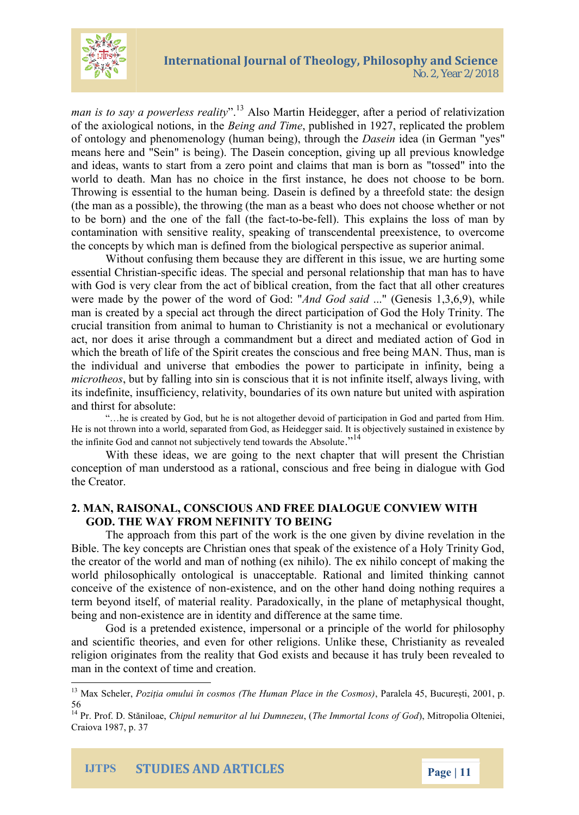

*man is to say a powerless reality*".<sup>13</sup> Also Martin Heidegger, after a period of relativization of the axiological notions, in the *Being and Time*, published in 1927, replicated the problem of ontology and phenomenology (human being), through the *Dasein* idea (in German "yes" means here and "Sein" is being). The Dasein conception, giving up all previous knowledge and ideas, wants to start from a zero point and claims that man is born as "tossed" into the world to death. Man has no choice in the first instance, he does not choose to be born. Throwing is essential to the human being. Dasein is defined by a threefold state: the design (the man as a possible), the throwing (the man as a beast who does not choose whether or not to be born) and the one of the fall (the fact-to-be-fell). This explains the loss of man by contamination with sensitive reality, speaking of transcendental preexistence, to overcome the concepts by which man is defined from the biological perspective as superior animal.

Without confusing them because they are different in this issue, we are hurting some essential Christian-specific ideas. The special and personal relationship that man has to have with God is very clear from the act of biblical creation, from the fact that all other creatures were made by the power of the word of God: "*And God said* ..." (Genesis 1,3,6,9), while man is created by a special act through the direct participation of God the Holy Trinity. The crucial transition from animal to human to Christianity is not a mechanical or evolutionary act, nor does it arise through a commandment but a direct and mediated action of God in which the breath of life of the Spirit creates the conscious and free being MAN. Thus, man is the individual and universe that embodies the power to participate in infinity, being a *microtheos*, but by falling into sin is conscious that it is not infinite itself, always living, with its indefinite, insufficiency, relativity, boundaries of its own nature but united with aspiration and thirst for absolute:

"…he is created by God, but he is not altogether devoid of participation in God and parted from Him. He is not thrown into a world, separated from God, as Heidegger said. It is objectively sustained in existence by the infinite God and cannot not subjectively tend towards the Absolute."<sup>14</sup>

With these ideas, we are going to the next chapter that will present the Christian conception of man understood as a rational, conscious and free being in dialogue with God the Creator.

# **2. MAN, RAISONAL, CONSCIOUS AND FREE DIALOGUE CONVIEW WITH GOD. THE WAY FROM NEFINITY TO BEING**

The approach from this part of the work is the one given by divine revelation in the Bible. The key concepts are Christian ones that speak of the existence of a Holy Trinity God, the creator of the world and man of nothing (ex nihilo). The ex nihilo concept of making the world philosophically ontological is unacceptable. Rational and limited thinking cannot conceive of the existence of non-existence, and on the other hand doing nothing requires a term beyond itself, of material reality. Paradoxically, in the plane of metaphysical thought, being and non-existence are in identity and difference at the same time.

God is a pretended existence, impersonal or a principle of the world for philosophy and scientific theories, and even for other religions. Unlike these, Christianity as revealed religion originates from the reality that God exists and because it has truly been revealed to man in the context of time and creation.

**IJTPS STUDIES AND ARTICLES Page | 11**

<sup>&</sup>lt;sup>13</sup> Max Scheler, *Poziția omului în cosmos (The Human Place in the Cosmos)*, Paralela 45, București, 2001, p. 56

<sup>14</sup> Pr. Prof. D. Stăniloae, *Chipul nemuritor al lui Dumnezeu*, (*The Immortal Icons of God*), Mitropolia Olteniei, Craiova 1987, p. 37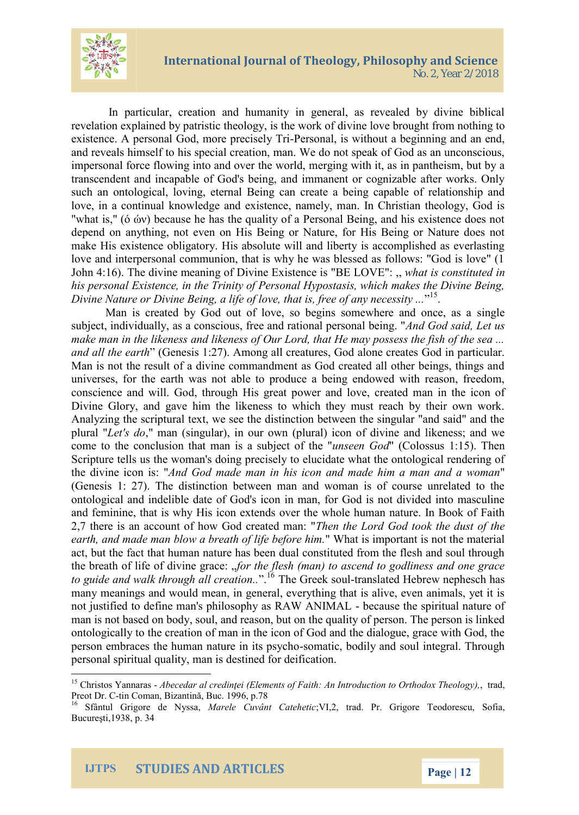

In particular, creation and humanity in general, as revealed by divine biblical revelation explained by patristic theology, is the work of divine love brought from nothing to existence. A personal God, more precisely Tri-Personal, is without a beginning and an end, and reveals himself to his special creation, man. We do not speak of God as an unconscious, impersonal force flowing into and over the world, merging with it, as in pantheism, but by a transcendent and incapable of God's being, and immanent or cognizable after works. Only such an ontological, loving, eternal Being can create a being capable of relationship and love, in a continual knowledge and existence, namely, man. In Christian theology, God is "what is," (ό ών) because he has the quality of a Personal Being, and his existence does not depend on anything, not even on His Being or Nature, for His Being or Nature does not make His existence obligatory. His absolute will and liberty is accomplished as everlasting love and interpersonal communion, that is why he was blessed as follows: "God is love" (1 John 4:16). The divine meaning of Divine Existence is "BE LOVE": ,, *what is constituted in his personal Existence, in the Trinity of Personal Hypostasis, which makes the Divine Being, Divine Nature or Divine Being, a life of love, that is, free of any necessity ...*" 15 .

Man is created by God out of love, so begins somewhere and once, as a single subject, individually, as a conscious, free and rational personal being. "*And God said, Let us make man in the likeness and likeness of Our Lord, that He may possess the fish of the sea ... and all the earth*" (Genesis 1:27). Among all creatures, God alone creates God in particular. Man is not the result of a divine commandment as God created all other beings, things and universes, for the earth was not able to produce a being endowed with reason, freedom, conscience and will. God, through His great power and love, created man in the icon of Divine Glory, and gave him the likeness to which they must reach by their own work. Analyzing the scriptural text, we see the distinction between the singular "and said" and the plural "*Let's do*," man (singular), in our own (plural) icon of divine and likeness; and we come to the conclusion that man is a subject of the "*unseen God*" (Colossus 1:15). Then Scripture tells us the woman's doing precisely to elucidate what the ontological rendering of the divine icon is: "*And God made man in his icon and made him a man and a woman*" (Genesis 1: 27). The distinction between man and woman is of course unrelated to the ontological and indelible date of God's icon in man, for God is not divided into masculine and feminine, that is why His icon extends over the whole human nature. In Book of Faith 2,7 there is an account of how God created man: "*Then the Lord God took the dust of the earth, and made man blow a breath of life before him.*" What is important is not the material act, but the fact that human nature has been dual constituted from the flesh and soul through the breath of life of divine grace: "*for the flesh (man) to ascend to godliness and one grace* to guide and walk through all creation..".<sup>16</sup> The Greek soul-translated Hebrew nephesch has many meanings and would mean, in general, everything that is alive, even animals, yet it is not justified to define man's philosophy as RAW ANIMAL - because the spiritual nature of man is not based on body, soul, and reason, but on the quality of person. The person is linked ontologically to the creation of man in the icon of God and the dialogue, grace with God, the person embraces the human nature in its psycho-somatic, bodily and soul integral. Through personal spiritual quality, man is destined for deification.

<sup>15</sup> Christos Yannaras - *Abecedar al credinţei (Elements of Faith: An Introduction to Orthodox Theology),*, trad, Preot Dr. C-tin Coman, Bizantină, Buc. 1996, p.78

<sup>&</sup>lt;sup>16</sup> Sfântul Grigore de Nyssa, *Marele Cuvânt Catehetic*; VI, 2, trad. Pr. Grigore Teodorescu, Sofia, Bucureşti,1938, p. 34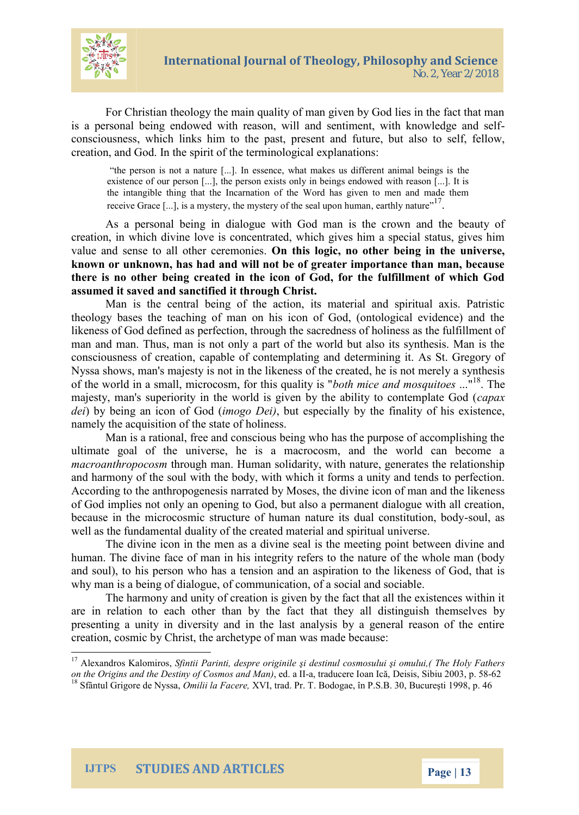

For Christian theology the main quality of man given by God lies in the fact that man is a personal being endowed with reason, will and sentiment, with knowledge and selfconsciousness, which links him to the past, present and future, but also to self, fellow, creation, and God. In the spirit of the terminological explanations:

"the person is not a nature [...]. In essence, what makes us different animal beings is the existence of our person [...], the person exists only in beings endowed with reason [...]. It is the intangible thing that the Incarnation of the Word has given to men and made them receive Grace [...], is a mystery, the mystery of the seal upon human, earthly nature"<sup>17</sup>.

As a personal being in dialogue with God man is the crown and the beauty of creation, in which divine love is concentrated, which gives him a special status, gives him value and sense to all other ceremonies. **On this logic, no other being in the universe, known or unknown, has had and will not be of greater importance than man, because there is no other being created in the icon of God, for the fulfillment of which God assumed it saved and sanctified it through Christ.**

Man is the central being of the action, its material and spiritual axis. Patristic theology bases the teaching of man on his icon of God, (ontological evidence) and the likeness of God defined as perfection, through the sacredness of holiness as the fulfillment of man and man. Thus, man is not only a part of the world but also its synthesis. Man is the consciousness of creation, capable of contemplating and determining it. As St. Gregory of Nyssa shows, man's majesty is not in the likeness of the created, he is not merely a synthesis of the world in a small, microcosm, for this quality is "*both mice and mosquitoes* ..."<sup>18</sup>. The majesty, man's superiority in the world is given by the ability to contemplate God (*capax dei*) by being an icon of God (*imogo Dei)*, but especially by the finality of his existence, namely the acquisition of the state of holiness.

Man is a rational, free and conscious being who has the purpose of accomplishing the ultimate goal of the universe, he is a macrocosm, and the world can become a *macroanthropocosm* through man. Human solidarity, with nature, generates the relationship and harmony of the soul with the body, with which it forms a unity and tends to perfection. According to the anthropogenesis narrated by Moses, the divine icon of man and the likeness of God implies not only an opening to God, but also a permanent dialogue with all creation, because in the microcosmic structure of human nature its dual constitution, body-soul, as well as the fundamental duality of the created material and spiritual universe.

The divine icon in the men as a divine seal is the meeting point between divine and human. The divine face of man in his integrity refers to the nature of the whole man (body and soul), to his person who has a tension and an aspiration to the likeness of God, that is why man is a being of dialogue, of communication, of a social and sociable.

The harmony and unity of creation is given by the fact that all the existences within it are in relation to each other than by the fact that they all distinguish themselves by presenting a unity in diversity and in the last analysis by a general reason of the entire creation, cosmic by Christ, the archetype of man was made because:

<sup>17</sup> Alexandros Kalomiros, *Sfintii Parinti, despre originile şi destinul cosmosului şi omului,( The Holy Fathers on the Origins and the Destiny of Cosmos and Man)*, ed. a II-a, traducere Ioan Ică, Deisis, Sibiu 2003, p. 58-62

<sup>18</sup> Sfântul Grigore de Nyssa, *Omilii la Facere,* XVI, trad. Pr. T. Bodogae, în P.S.B. 30, Bucureşti 1998, p. 46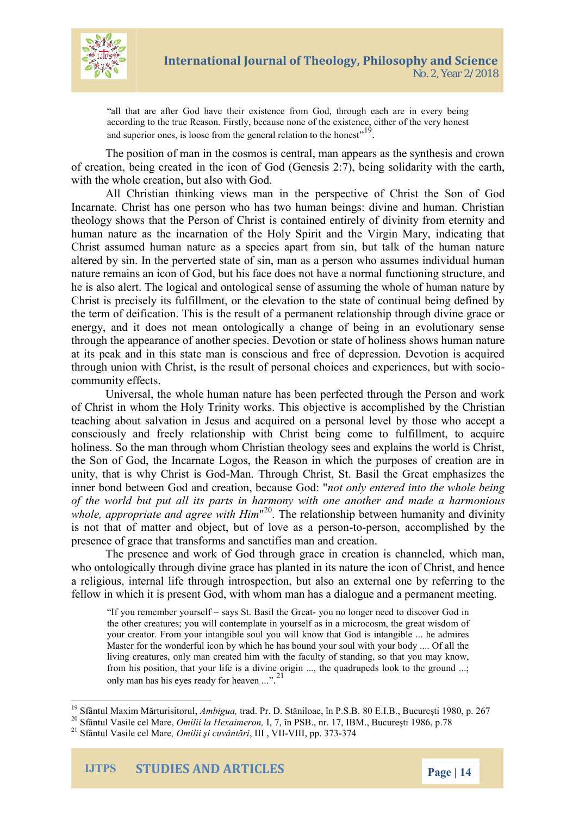

"all that are after God have their existence from God, through each are in every being according to the true Reason. Firstly, because none of the existence, either of the very honest and superior ones, is loose from the general relation to the honest".<sup>19</sup> .

The position of man in the cosmos is central, man appears as the synthesis and crown of creation, being created in the icon of God (Genesis 2:7), being solidarity with the earth, with the whole creation, but also with God.

All Christian thinking views man in the perspective of Christ the Son of God Incarnate. Christ has one person who has two human beings: divine and human. Christian theology shows that the Person of Christ is contained entirely of divinity from eternity and human nature as the incarnation of the Holy Spirit and the Virgin Mary, indicating that Christ assumed human nature as a species apart from sin, but talk of the human nature altered by sin. In the perverted state of sin, man as a person who assumes individual human nature remains an icon of God, but his face does not have a normal functioning structure, and he is also alert. The logical and ontological sense of assuming the whole of human nature by Christ is precisely its fulfillment, or the elevation to the state of continual being defined by the term of deification. This is the result of a permanent relationship through divine grace or energy, and it does not mean ontologically a change of being in an evolutionary sense through the appearance of another species. Devotion or state of holiness shows human nature at its peak and in this state man is conscious and free of depression. Devotion is acquired through union with Christ, is the result of personal choices and experiences, but with sociocommunity effects.

Universal, the whole human nature has been perfected through the Person and work of Christ in whom the Holy Trinity works. This objective is accomplished by the Christian teaching about salvation in Jesus and acquired on a personal level by those who accept a consciously and freely relationship with Christ being come to fulfillment, to acquire holiness. So the man through whom Christian theology sees and explains the world is Christ, the Son of God, the Incarnate Logos, the Reason in which the purposes of creation are in unity, that is why Christ is God-Man. Through Christ, St. Basil the Great emphasizes the inner bond between God and creation, because God: "*not only entered into the whole being of the world but put all its parts in harmony with one another and made a harmonious* whole, appropriate and agree with Him<sup>"20</sup>. The relationship between humanity and divinity is not that of matter and object, but of love as a person-to-person, accomplished by the presence of grace that transforms and sanctifies man and creation.

The presence and work of God through grace in creation is channeled, which man, who ontologically through divine grace has planted in its nature the icon of Christ, and hence a religious, internal life through introspection, but also an external one by referring to the fellow in which it is present God, with whom man has a dialogue and a permanent meeting.

"If you remember yourself – says St. Basil the Great- you no longer need to discover God in the other creatures; you will contemplate in yourself as in a microcosm, the great wisdom of your creator. From your intangible soul you will know that God is intangible ... he admires Master for the wonderful icon by which he has bound your soul with your body .... Of all the living creatures, only man created him with the faculty of standing, so that you may know, from his position, that your life is a divine origin ..., the quadrupeds look to the ground ...; only man has his eyes ready for heaven ...".<sup>21</sup>

<sup>19</sup> Sfântul Maxim Mărturisitorul, *Ambigua,* trad. Pr. D. Stăniloae, în P.S.B. 80 E.I.B., Bucureşti 1980, p. 267

<sup>20</sup> Sfântul Vasile cel Mare, *Omilii la Hexaimeron,* I, 7, în PSB., nr. 17, IBM., Bucureşti 1986, p.78

<sup>21</sup> Sfântul Vasile cel Mare*, Omilii şi cuvântări*, III , VII-VIII, pp. 373-374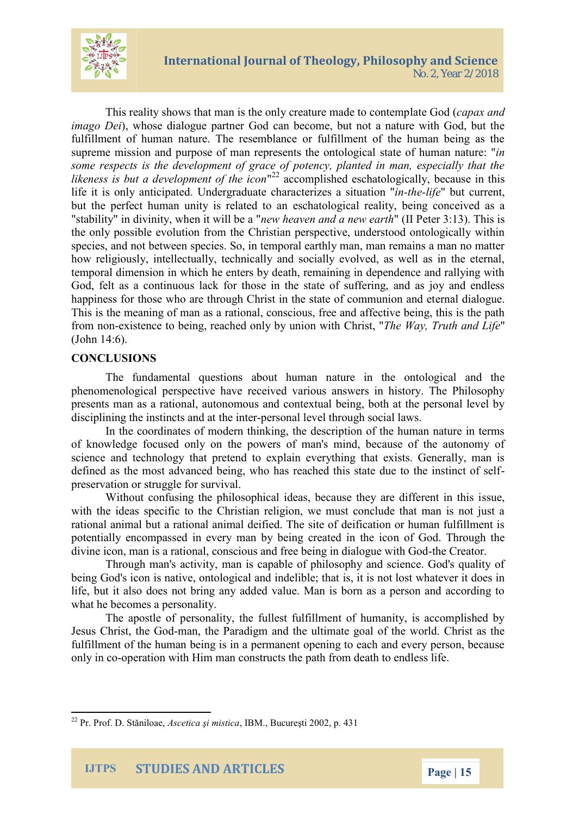

This reality shows that man is the only creature made to contemplate God (*capax and imago Dei*), whose dialogue partner God can become, but not a nature with God, but the fulfillment of human nature. The resemblance or fulfillment of the human being as the supreme mission and purpose of man represents the ontological state of human nature: "*in some respects is the development of grace of potency, planted in man, especially that the likeness is but a development of the icon*" <sup>22</sup> accomplished eschatologically, because in this life it is only anticipated. Undergraduate characterizes a situation "*in-the-life*" but current, but the perfect human unity is related to an eschatological reality, being conceived as a "stability" in divinity, when it will be a "*new heaven and a new earth*" (II Peter 3:13). This is the only possible evolution from the Christian perspective, understood ontologically within species, and not between species. So, in temporal earthly man, man remains a man no matter how religiously, intellectually, technically and socially evolved, as well as in the eternal, temporal dimension in which he enters by death, remaining in dependence and rallying with God, felt as a continuous lack for those in the state of suffering, and as joy and endless happiness for those who are through Christ in the state of communion and eternal dialogue. This is the meaning of man as a rational, conscious, free and affective being, this is the path from non-existence to being, reached only by union with Christ, "*The Way, Truth and Life*" (John 14:6).

## **CONCLUSIONS**

The fundamental questions about human nature in the ontological and the phenomenological perspective have received various answers in history. The Philosophy presents man as a rational, autonomous and contextual being, both at the personal level by disciplining the instincts and at the inter-personal level through social laws.

In the coordinates of modern thinking, the description of the human nature in terms of knowledge focused only on the powers of man's mind, because of the autonomy of science and technology that pretend to explain everything that exists. Generally, man is defined as the most advanced being, who has reached this state due to the instinct of selfpreservation or struggle for survival.

Without confusing the philosophical ideas, because they are different in this issue, with the ideas specific to the Christian religion, we must conclude that man is not just a rational animal but a rational animal deified. The site of deification or human fulfillment is potentially encompassed in every man by being created in the icon of God. Through the divine icon, man is a rational, conscious and free being in dialogue with God-the Creator.

Through man's activity, man is capable of philosophy and science. God's quality of being God's icon is native, ontological and indelible; that is, it is not lost whatever it does in life, but it also does not bring any added value. Man is born as a person and according to what he becomes a personality.

The apostle of personality, the fullest fulfillment of humanity, is accomplished by Jesus Christ, the God-man, the Paradigm and the ultimate goal of the world. Christ as the fulfillment of the human being is in a permanent opening to each and every person, because only in co-operation with Him man constructs the path from death to endless life.

<sup>22</sup> Pr. Prof. D. Stăniloae, *Ascetica şi mistica*, IBM., Bucureşti 2002, p. 431